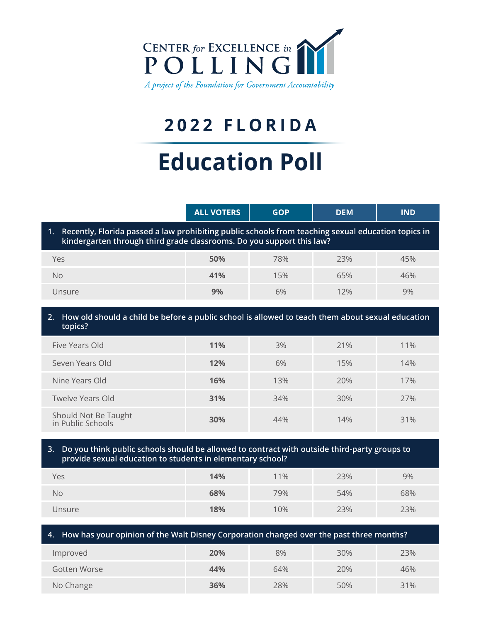

# **2022 FLORIDA**

# **Education Poll**

|                                                                                                                                                                                   | <b>ALL VOTERS</b> | <b>GOP</b> | <b>DEM</b> | <b>IND</b> |  |
|-----------------------------------------------------------------------------------------------------------------------------------------------------------------------------------|-------------------|------------|------------|------------|--|
| Recently, Florida passed a law prohibiting public schools from teaching sexual education topics in<br>1.<br>kindergarten through third grade classrooms. Do you support this law? |                   |            |            |            |  |
| Yes                                                                                                                                                                               | 50%               | 78%        | 23%        | 45%        |  |
| <b>No</b>                                                                                                                                                                         | 41%               | 15%        | 65%        | 46%        |  |
| Unsure                                                                                                                                                                            | 9%                | 6%         | 12%        | 9%         |  |
| How old should a child be before a public school is allowed to teach them about sexual education<br>2.<br>topics?                                                                 |                   |            |            |            |  |
| Five Years Old                                                                                                                                                                    | 11%               | 3%         | 21%        | 11%        |  |
| Seven Years Old                                                                                                                                                                   | 12%               | 6%         | 15%        | 14%        |  |
| Nine Years Old                                                                                                                                                                    | 16%               | 13%        | 20%        | 17%        |  |
| Twelve Years Old                                                                                                                                                                  | 31%               | 34%        | 30%        | 27%        |  |
| Should Not Be Taught<br>in Public Schools                                                                                                                                         | 30%               | 44%        | 14%        | 31%        |  |
|                                                                                                                                                                                   |                   |            |            |            |  |

# **3. Do you think public schools should be allowed to contract with outside third-party groups to provide sexual education to students in elementary school?**

| Yes    | 14% | 11% | 23% | 9%  |
|--------|-----|-----|-----|-----|
| No     | 68% | 79% | 54% | 68% |
| Unsure | 18% | 10% | 23% | 23% |

| 4. How has your opinion of the Walt Disney Corporation changed over the past three months? |     |     |     |     |  |  |
|--------------------------------------------------------------------------------------------|-----|-----|-----|-----|--|--|
| 8%<br>23%<br>30%<br>20%<br>Improved                                                        |     |     |     |     |  |  |
| Gotten Worse                                                                               | 44% | 64% | 20% | 46% |  |  |
| No Change                                                                                  | 36% | 28% | 50% | 31% |  |  |